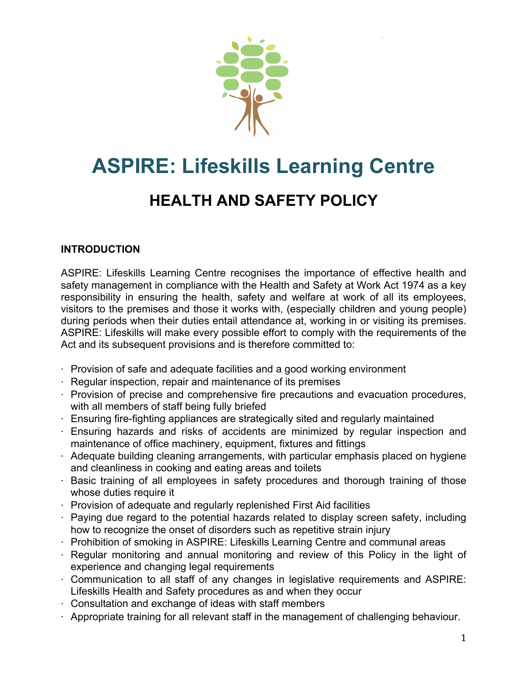

# **ASPIRE: Lifeskills Learning Centre**

# **HEALTH AND SAFETY POLICY**

# **INTRODUCTION**

ASPIRE: Lifeskills Learning Centre recognises the importance of effective health and safety management in compliance with the Health and Safety at Work Act 1974 as a key responsibility in ensuring the health, safety and welfare at work of all its employees, visitors to the premises and those it works with, (especially children and young people) during periods when their duties entail attendance at, working in or visiting its premises. ASPIRE: Lifeskills will make every possible effort to comply with the requirements of the Act and its subsequent provisions and is therefore committed to:

- ⋅ Provision of safe and adequate facilities and a good working environment
- ⋅ Regular inspection, repair and maintenance of its premises
- ⋅ Provision of precise and comprehensive fire precautions and evacuation procedures, with all members of staff being fully briefed
- ⋅ Ensuring fire-fighting appliances are strategically sited and regularly maintained
- ⋅ Ensuring hazards and risks of accidents are minimized by regular inspection and maintenance of office machinery, equipment, fixtures and fittings
- $\cdot$  Adequate building cleaning arrangements, with particular emphasis placed on hygiene and cleanliness in cooking and eating areas and toilets
- $\cdot$  Basic training of all employees in safety procedures and thorough training of those whose duties require it
- ⋅ Provision of adequate and regularly replenished First Aid facilities
- ⋅ Paying due regard to the potential hazards related to display screen safety, including how to recognize the onset of disorders such as repetitive strain injury
- ⋅ Prohibition of smoking in ASPIRE: Lifeskills Learning Centre and communal areas
- ⋅ Regular monitoring and annual monitoring and review of this Policy in the light of experience and changing legal requirements
- ⋅ Communication to all staff of any changes in legislative requirements and ASPIRE: Lifeskills Health and Safety procedures as and when they occur
- ⋅ Consultation and exchange of ideas with staff members
- ⋅ Appropriate training for all relevant staff in the management of challenging behaviour.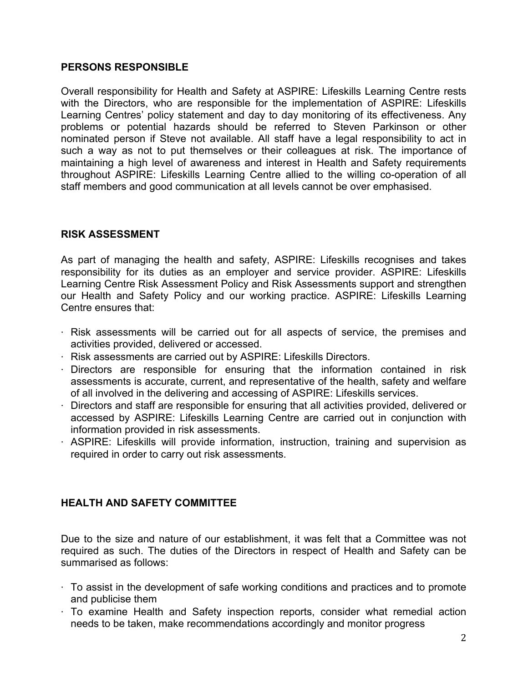#### **PERSONS RESPONSIBLE**

Overall responsibility for Health and Safety at ASPIRE: Lifeskills Learning Centre rests with the Directors, who are responsible for the implementation of ASPIRE: Lifeskills Learning Centres' policy statement and day to day monitoring of its effectiveness. Any problems or potential hazards should be referred to Steven Parkinson or other nominated person if Steve not available. All staff have a legal responsibility to act in such a way as not to put themselves or their colleagues at risk. The importance of maintaining a high level of awareness and interest in Health and Safety requirements throughout ASPIRE: Lifeskills Learning Centre allied to the willing co-operation of all staff members and good communication at all levels cannot be over emphasised.

#### **RISK ASSESSMENT**

As part of managing the health and safety, ASPIRE: Lifeskills recognises and takes responsibility for its duties as an employer and service provider. ASPIRE: Lifeskills Learning Centre Risk Assessment Policy and Risk Assessments support and strengthen our Health and Safety Policy and our working practice. ASPIRE: Lifeskills Learning Centre ensures that:

- $\cdot$  Risk assessments will be carried out for all aspects of service, the premises and activities provided, delivered or accessed.
- ⋅ Risk assessments are carried out by ASPIRE: Lifeskills Directors.
- ⋅ Directors are responsible for ensuring that the information contained in risk assessments is accurate, current, and representative of the health, safety and welfare of all involved in the delivering and accessing of ASPIRE: Lifeskills services.
- ⋅ Directors and staff are responsible for ensuring that all activities provided, delivered or accessed by ASPIRE: Lifeskills Learning Centre are carried out in conjunction with information provided in risk assessments.
- ⋅ ASPIRE: Lifeskills will provide information, instruction, training and supervision as required in order to carry out risk assessments.

# **HEALTH AND SAFETY COMMITTEE**

Due to the size and nature of our establishment, it was felt that a Committee was not required as such. The duties of the Directors in respect of Health and Safety can be summarised as follows:

- $\cdot$  To assist in the development of safe working conditions and practices and to promote and publicise them
- ⋅ To examine Health and Safety inspection reports, consider what remedial action needs to be taken, make recommendations accordingly and monitor progress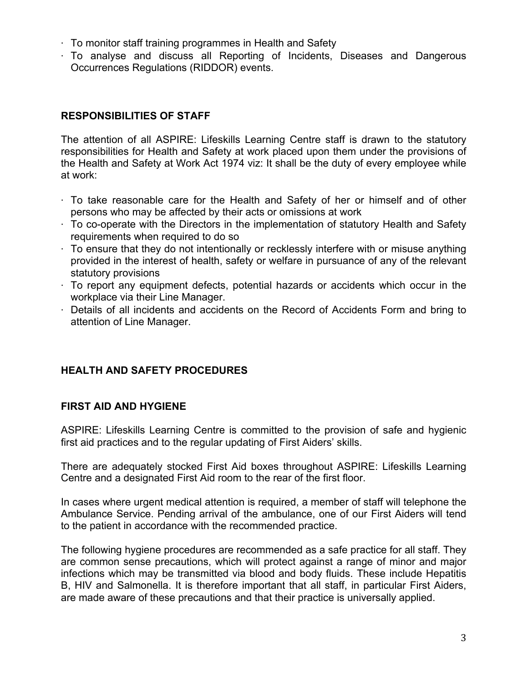- $\cdot$  To monitor staff training programmes in Health and Safety
- ⋅ To analyse and discuss all Reporting of Incidents, Diseases and Dangerous Occurrences Regulations (RIDDOR) events.

# **RESPONSIBILITIES OF STAFF**

The attention of all ASPIRE: Lifeskills Learning Centre staff is drawn to the statutory responsibilities for Health and Safety at work placed upon them under the provisions of the Health and Safety at Work Act 1974 viz: It shall be the duty of every employee while at work:

- $\cdot$  To take reasonable care for the Health and Safety of her or himself and of other persons who may be affected by their acts or omissions at work
- $\cdot$  To co-operate with the Directors in the implementation of statutory Health and Safety requirements when required to do so
- $\cdot$  To ensure that they do not intentionally or recklessly interfere with or misuse anything provided in the interest of health, safety or welfare in pursuance of any of the relevant statutory provisions
- $\cdot$  To report any equipment defects, potential hazards or accidents which occur in the workplace via their Line Manager.
- ⋅ Details of all incidents and accidents on the Record of Accidents Form and bring to attention of Line Manager.

# **HEALTH AND SAFETY PROCEDURES**

# **FIRST AID AND HYGIENE**

ASPIRE: Lifeskills Learning Centre is committed to the provision of safe and hygienic first aid practices and to the regular updating of First Aiders' skills.

There are adequately stocked First Aid boxes throughout ASPIRE: Lifeskills Learning Centre and a designated First Aid room to the rear of the first floor.

In cases where urgent medical attention is required, a member of staff will telephone the Ambulance Service. Pending arrival of the ambulance, one of our First Aiders will tend to the patient in accordance with the recommended practice.

The following hygiene procedures are recommended as a safe practice for all staff. They are common sense precautions, which will protect against a range of minor and major infections which may be transmitted via blood and body fluids. These include Hepatitis B, HIV and Salmonella. It is therefore important that all staff, in particular First Aiders, are made aware of these precautions and that their practice is universally applied.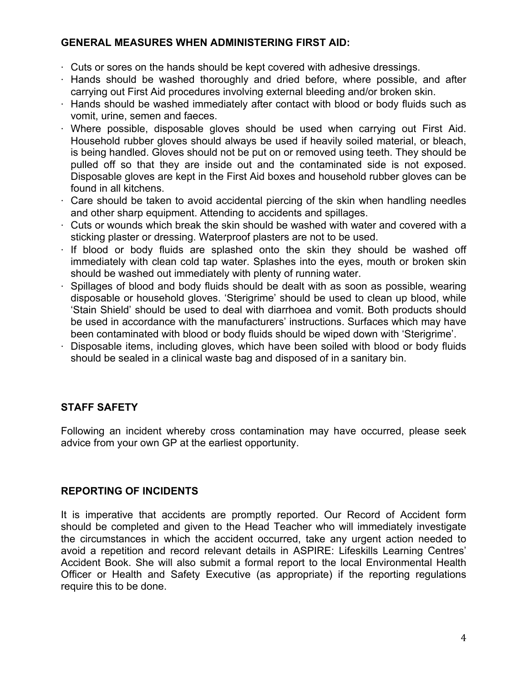## **GENERAL MEASURES WHEN ADMINISTERING FIRST AID:**

- ⋅ Cuts or sores on the hands should be kept covered with adhesive dressings.
- ⋅ Hands should be washed thoroughly and dried before, where possible, and after carrying out First Aid procedures involving external bleeding and/or broken skin.
- $\cdot$  Hands should be washed immediately after contact with blood or body fluids such as vomit, urine, semen and faeces.
- $\cdot$  Where possible, disposable gloves should be used when carrying out First Aid. Household rubber gloves should always be used if heavily soiled material, or bleach, is being handled. Gloves should not be put on or removed using teeth. They should be pulled off so that they are inside out and the contaminated side is not exposed. Disposable gloves are kept in the First Aid boxes and household rubber gloves can be found in all kitchens.
- $\cdot$  Care should be taken to avoid accidental piercing of the skin when handling needles and other sharp equipment. Attending to accidents and spillages.
- $\cdot$  Cuts or wounds which break the skin should be washed with water and covered with a sticking plaster or dressing. Waterproof plasters are not to be used.
- $\cdot$  If blood or body fluids are splashed onto the skin they should be washed off immediately with clean cold tap water. Splashes into the eyes, mouth or broken skin should be washed out immediately with plenty of running water.
- $\cdot$  Spillages of blood and body fluids should be dealt with as soon as possible, wearing disposable or household gloves. 'Sterigrime' should be used to clean up blood, while 'Stain Shield' should be used to deal with diarrhoea and vomit. Both products should be used in accordance with the manufacturers' instructions. Surfaces which may have been contaminated with blood or body fluids should be wiped down with 'Sterigrime'.
- Disposable items, including gloves, which have been soiled with blood or body fluids should be sealed in a clinical waste bag and disposed of in a sanitary bin.

# **STAFF SAFETY**

Following an incident whereby cross contamination may have occurred, please seek advice from your own GP at the earliest opportunity.

# **REPORTING OF INCIDENTS**

It is imperative that accidents are promptly reported. Our Record of Accident form should be completed and given to the Head Teacher who will immediately investigate the circumstances in which the accident occurred, take any urgent action needed to avoid a repetition and record relevant details in ASPIRE: Lifeskills Learning Centres' Accident Book. She will also submit a formal report to the local Environmental Health Officer or Health and Safety Executive (as appropriate) if the reporting regulations require this to be done.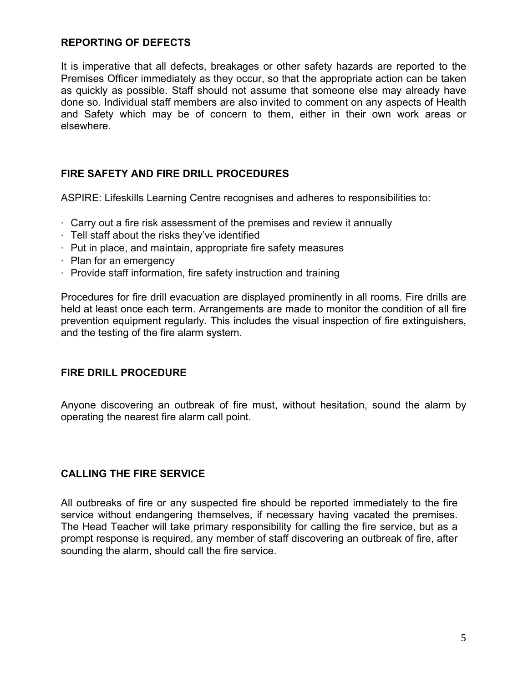#### **REPORTING OF DEFECTS**

It is imperative that all defects, breakages or other safety hazards are reported to the Premises Officer immediately as they occur, so that the appropriate action can be taken as quickly as possible. Staff should not assume that someone else may already have done so. Individual staff members are also invited to comment on any aspects of Health and Safety which may be of concern to them, either in their own work areas or elsewhere.

# **FIRE SAFETY AND FIRE DRILL PROCEDURES**

ASPIRE: Lifeskills Learning Centre recognises and adheres to responsibilities to:

- ⋅ Carry out a fire risk assessment of the premises and review it annually
- ⋅ Tell staff about the risks they've identified
- ⋅ Put in place, and maintain, appropriate fire safety measures
- ⋅ Plan for an emergency
- ⋅ Provide staff information, fire safety instruction and training

Procedures for fire drill evacuation are displayed prominently in all rooms. Fire drills are held at least once each term. Arrangements are made to monitor the condition of all fire prevention equipment regularly. This includes the visual inspection of fire extinguishers, and the testing of the fire alarm system.

#### **FIRE DRILL PROCEDURE**

Anyone discovering an outbreak of fire must, without hesitation, sound the alarm by operating the nearest fire alarm call point.

#### **CALLING THE FIRE SERVICE**

All outbreaks of fire or any suspected fire should be reported immediately to the fire service without endangering themselves, if necessary having vacated the premises. The Head Teacher will take primary responsibility for calling the fire service, but as a prompt response is required, any member of staff discovering an outbreak of fire, after sounding the alarm, should call the fire service.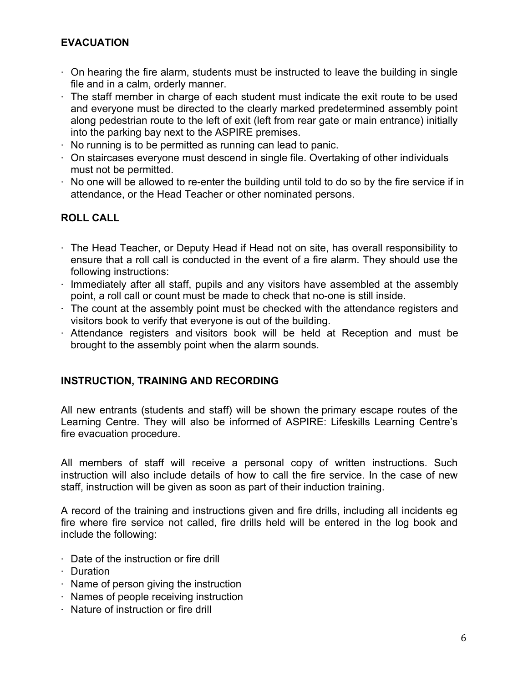# **EVACUATION**

- $\cdot$  On hearing the fire alarm, students must be instructed to leave the building in single file and in a calm, orderly manner.
- $\cdot$  The staff member in charge of each student must indicate the exit route to be used and everyone must be directed to the clearly marked predetermined assembly point along pedestrian route to the left of exit (left from rear gate or main entrance) initially into the parking bay next to the ASPIRE premises.
- No running is to be permitted as running can lead to panic.
- ⋅ On staircases everyone must descend in single file. Overtaking of other individuals must not be permitted.
- $\cdot$  No one will be allowed to re-enter the building until told to do so by the fire service if in attendance, or the Head Teacher or other nominated persons.

# **ROLL CALL**

- $\cdot$  The Head Teacher, or Deputy Head if Head not on site, has overall responsibility to ensure that a roll call is conducted in the event of a fire alarm. They should use the following instructions:
- ⋅ Immediately after all staff, pupils and any visitors have assembled at the assembly point, a roll call or count must be made to check that no-one is still inside.
- $\cdot$  The count at the assembly point must be checked with the attendance registers and visitors book to verify that everyone is out of the building.
- ⋅ Attendance registers and visitors book will be held at Reception and must be brought to the assembly point when the alarm sounds.

# **INSTRUCTION, TRAINING AND RECORDING**

All new entrants (students and staff) will be shown the primary escape routes of the Learning Centre. They will also be informed of ASPIRE: Lifeskills Learning Centre's fire evacuation procedure.

All members of staff will receive a personal copy of written instructions. Such instruction will also include details of how to call the fire service. In the case of new staff, instruction will be given as soon as part of their induction training.

A record of the training and instructions given and fire drills, including all incidents eg fire where fire service not called, fire drills held will be entered in the log book and include the following:

- ⋅ Date of the instruction or fire drill
- ⋅ Duration
- ⋅ Name of person giving the instruction
- ⋅ Names of people receiving instruction
- ⋅ Nature of instruction or fire drill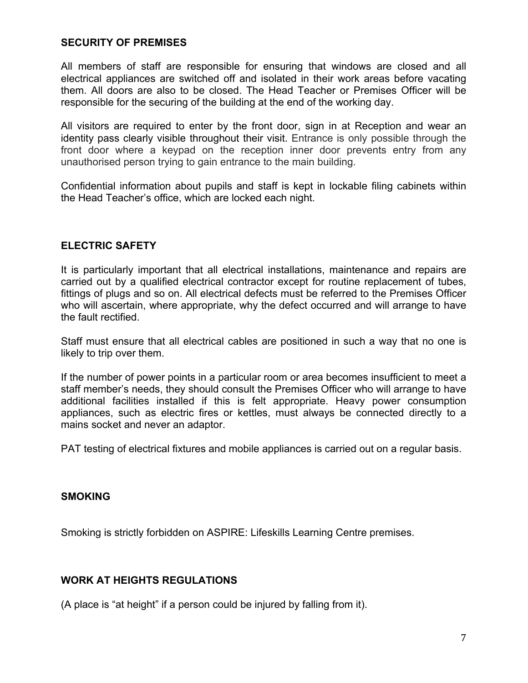#### **SECURITY OF PREMISES**

All members of staff are responsible for ensuring that windows are closed and all electrical appliances are switched off and isolated in their work areas before vacating them. All doors are also to be closed. The Head Teacher or Premises Officer will be responsible for the securing of the building at the end of the working day.

All visitors are required to enter by the front door, sign in at Reception and wear an identity pass clearly visible throughout their visit. Entrance is only possible through the front door where a keypad on the reception inner door prevents entry from any unauthorised person trying to gain entrance to the main building.

Confidential information about pupils and staff is kept in lockable filing cabinets within the Head Teacher's office, which are locked each night.

#### **ELECTRIC SAFETY**

It is particularly important that all electrical installations, maintenance and repairs are carried out by a qualified electrical contractor except for routine replacement of tubes, fittings of plugs and so on. All electrical defects must be referred to the Premises Officer who will ascertain, where appropriate, why the defect occurred and will arrange to have the fault rectified.

Staff must ensure that all electrical cables are positioned in such a way that no one is likely to trip over them.

If the number of power points in a particular room or area becomes insufficient to meet a staff member's needs, they should consult the Premises Officer who will arrange to have additional facilities installed if this is felt appropriate. Heavy power consumption appliances, such as electric fires or kettles, must always be connected directly to a mains socket and never an adaptor.

PAT testing of electrical fixtures and mobile appliances is carried out on a regular basis.

#### **SMOKING**

Smoking is strictly forbidden on ASPIRE: Lifeskills Learning Centre premises.

#### **WORK AT HEIGHTS REGULATIONS**

(A place is "at height" if a person could be injured by falling from it).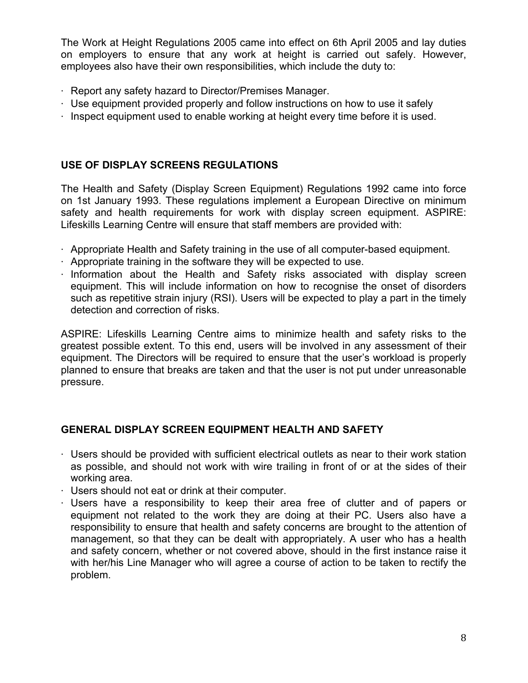The Work at Height Regulations 2005 came into effect on 6th April 2005 and lay duties on employers to ensure that any work at height is carried out safely. However, employees also have their own responsibilities, which include the duty to:

- ⋅ Report any safety hazard to Director/Premises Manager.
- $\cdot$  Use equipment provided properly and follow instructions on how to use it safely
- ⋅ Inspect equipment used to enable working at height every time before it is used.

# **USE OF DISPLAY SCREENS REGULATIONS**

The Health and Safety (Display Screen Equipment) Regulations 1992 came into force on 1st January 1993. These regulations implement a European Directive on minimum safety and health requirements for work with display screen equipment. ASPIRE: Lifeskills Learning Centre will ensure that staff members are provided with:

- ⋅ Appropriate Health and Safety training in the use of all computer-based equipment.
- $\cdot$  Appropriate training in the software they will be expected to use.
- $\cdot$  Information about the Health and Safety risks associated with display screen equipment. This will include information on how to recognise the onset of disorders such as repetitive strain injury (RSI). Users will be expected to play a part in the timely detection and correction of risks.

ASPIRE: Lifeskills Learning Centre aims to minimize health and safety risks to the greatest possible extent. To this end, users will be involved in any assessment of their equipment. The Directors will be required to ensure that the user's workload is properly planned to ensure that breaks are taken and that the user is not put under unreasonable pressure.

# **GENERAL DISPLAY SCREEN EQUIPMENT HEALTH AND SAFETY**

- $\cdot$  Users should be provided with sufficient electrical outlets as near to their work station as possible, and should not work with wire trailing in front of or at the sides of their working area.
- ⋅ Users should not eat or drink at their computer.
- ⋅ Users have a responsibility to keep their area free of clutter and of papers or equipment not related to the work they are doing at their PC. Users also have a responsibility to ensure that health and safety concerns are brought to the attention of management, so that they can be dealt with appropriately. A user who has a health and safety concern, whether or not covered above, should in the first instance raise it with her/his Line Manager who will agree a course of action to be taken to rectify the problem.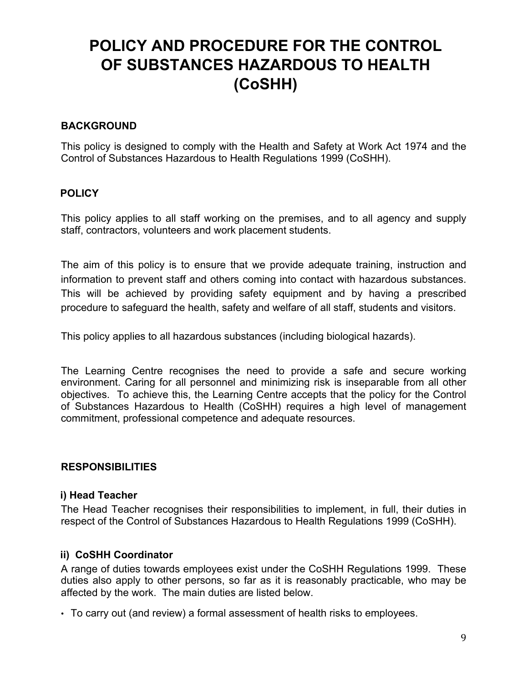# **POLICY AND PROCEDURE FOR THE CONTROL OF SUBSTANCES HAZARDOUS TO HEALTH (CoSHH)**

#### **BACKGROUND**

This policy is designed to comply with the Health and Safety at Work Act 1974 and the Control of Substances Hazardous to Health Regulations 1999 (CoSHH).

#### **POLICY**

This policy applies to all staff working on the premises, and to all agency and supply staff, contractors, volunteers and work placement students.

The aim of this policy is to ensure that we provide adequate training, instruction and information to prevent staff and others coming into contact with hazardous substances. This will be achieved by providing safety equipment and by having a prescribed procedure to safeguard the health, safety and welfare of all staff, students and visitors.

This policy applies to all hazardous substances (including biological hazards).

The Learning Centre recognises the need to provide a safe and secure working environment. Caring for all personnel and minimizing risk is inseparable from all other objectives. To achieve this, the Learning Centre accepts that the policy for the Control of Substances Hazardous to Health (CoSHH) requires a high level of management commitment, professional competence and adequate resources.

#### **RESPONSIBILITIES**

#### **i) Head Teacher**

The Head Teacher recognises their responsibilities to implement, in full, their duties in respect of the Control of Substances Hazardous to Health Regulations 1999 (CoSHH).

#### **ii) CoSHH Coordinator**

A range of duties towards employees exist under the CoSHH Regulations 1999. These duties also apply to other persons, so far as it is reasonably practicable, who may be affected by the work. The main duties are listed below.

• To carry out (and review) a formal assessment of health risks to employees.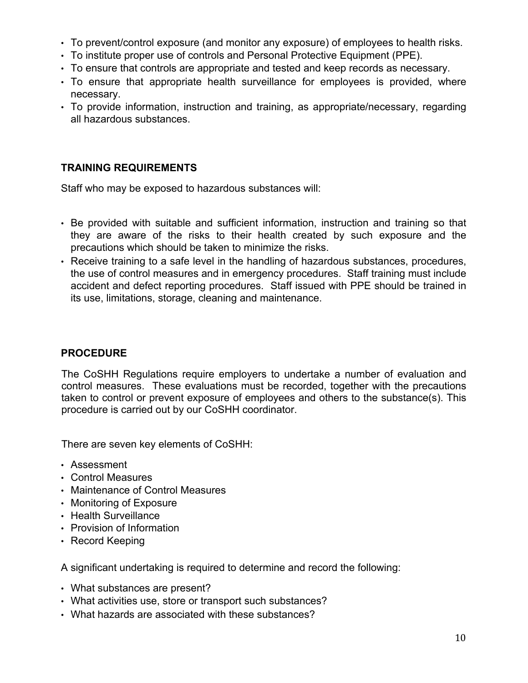- To prevent/control exposure (and monitor any exposure) of employees to health risks.
- To institute proper use of controls and Personal Protective Equipment (PPE).
- To ensure that controls are appropriate and tested and keep records as necessary.
- To ensure that appropriate health surveillance for employees is provided, where necessary.
- To provide information, instruction and training, as appropriate/necessary, regarding all hazardous substances.

# **TRAINING REQUIREMENTS**

Staff who may be exposed to hazardous substances will:

- Be provided with suitable and sufficient information, instruction and training so that they are aware of the risks to their health created by such exposure and the precautions which should be taken to minimize the risks.
- Receive training to a safe level in the handling of hazardous substances, procedures, the use of control measures and in emergency procedures. Staff training must include accident and defect reporting procedures. Staff issued with PPE should be trained in its use, limitations, storage, cleaning and maintenance.

# **PROCEDURE**

The CoSHH Regulations require employers to undertake a number of evaluation and control measures. These evaluations must be recorded, together with the precautions taken to control or prevent exposure of employees and others to the substance(s). This procedure is carried out by our CoSHH coordinator.

There are seven key elements of CoSHH:

- Assessment
- Control Measures
- Maintenance of Control Measures
- Monitoring of Exposure
- Health Surveillance
- Provision of Information
- Record Keeping

A significant undertaking is required to determine and record the following:

- What substances are present?
- What activities use, store or transport such substances?
- What hazards are associated with these substances?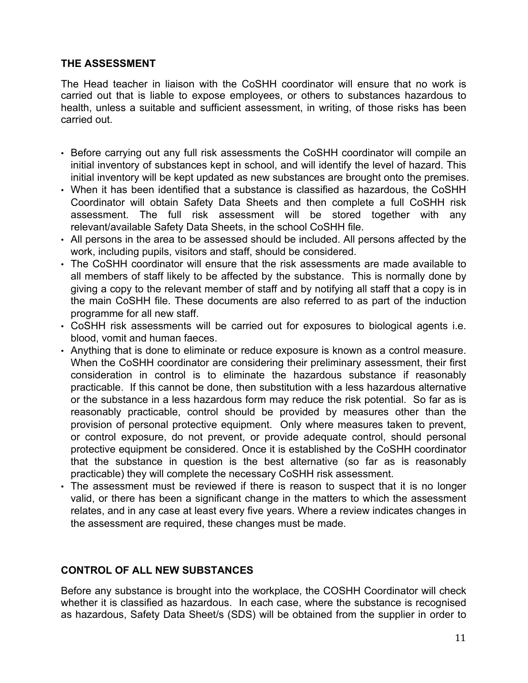## **THE ASSESSMENT**

The Head teacher in liaison with the CoSHH coordinator will ensure that no work is carried out that is liable to expose employees, or others to substances hazardous to health, unless a suitable and sufficient assessment, in writing, of those risks has been carried out.

- Before carrying out any full risk assessments the CoSHH coordinator will compile an initial inventory of substances kept in school, and will identify the level of hazard. This initial inventory will be kept updated as new substances are brought onto the premises.
- When it has been identified that a substance is classified as hazardous, the CoSHH Coordinator will obtain Safety Data Sheets and then complete a full CoSHH risk assessment. The full risk assessment will be stored together with any relevant/available Safety Data Sheets, in the school CoSHH file.
- All persons in the area to be assessed should be included. All persons affected by the work, including pupils, visitors and staff, should be considered.
- The CoSHH coordinator will ensure that the risk assessments are made available to all members of staff likely to be affected by the substance. This is normally done by giving a copy to the relevant member of staff and by notifying all staff that a copy is in the main CoSHH file. These documents are also referred to as part of the induction programme for all new staff.
- CoSHH risk assessments will be carried out for exposures to biological agents i.e. blood, vomit and human faeces.
- Anything that is done to eliminate or reduce exposure is known as a control measure. When the CoSHH coordinator are considering their preliminary assessment, their first consideration in control is to eliminate the hazardous substance if reasonably practicable. If this cannot be done, then substitution with a less hazardous alternative or the substance in a less hazardous form may reduce the risk potential. So far as is reasonably practicable, control should be provided by measures other than the provision of personal protective equipment. Only where measures taken to prevent, or control exposure, do not prevent, or provide adequate control, should personal protective equipment be considered. Once it is established by the CoSHH coordinator that the substance in question is the best alternative (so far as is reasonably practicable) they will complete the necessary CoSHH risk assessment.
- The assessment must be reviewed if there is reason to suspect that it is no longer valid, or there has been a significant change in the matters to which the assessment relates, and in any case at least every five years. Where a review indicates changes in the assessment are required, these changes must be made.

# **CONTROL OF ALL NEW SUBSTANCES**

Before any substance is brought into the workplace, the COSHH Coordinator will check whether it is classified as hazardous. In each case, where the substance is recognised as hazardous, Safety Data Sheet/s (SDS) will be obtained from the supplier in order to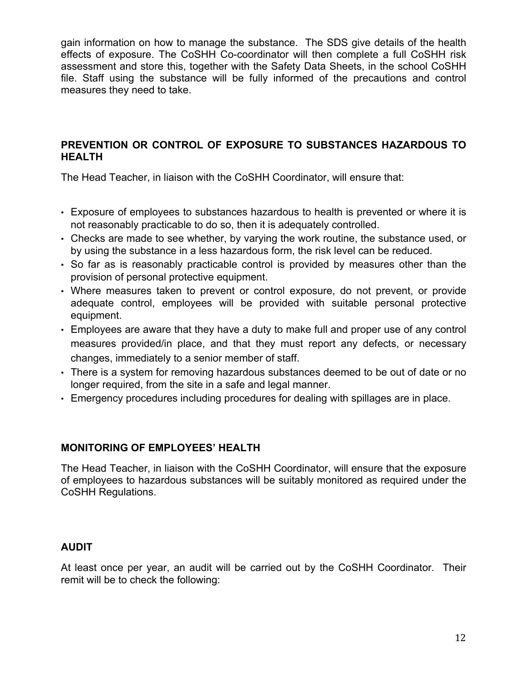gain information on how to manage the substance. The SDS give details of the health effects of exposure. The CoSHH Co-coordinator will then complete a full CoSHH risk assessment and store this, together with the Safety Data Sheets, in the school CoSHH file. Staff using the substance will be fully informed of the precautions and control measures they need to take.

## **PREVENTION OR CONTROL OF EXPOSURE TO SUBSTANCES HAZARDOUS TO HEALTH**

The Head Teacher, in liaison with the CoSHH Coordinator, will ensure that:

- Exposure of employees to substances hazardous to health is prevented or where it is not reasonably practicable to do so, then it is adequately controlled.
- Checks are made to see whether, by varying the work routine, the substance used, or by using the substance in a less hazardous form, the risk level can be reduced.
- So far as is reasonably practicable control is provided by measures other than the provision of personal protective equipment.
- Where measures taken to prevent or control exposure, do not prevent, or provide adequate control, employees will be provided with suitable personal protective equipment.
- Employees are aware that they have a duty to make full and proper use of any control measures provided/in place, and that they must report any defects, or necessary changes, immediately to a senior member of staff.
- There is a system for removing hazardous substances deemed to be out of date or no longer required, from the site in a safe and legal manner.
- Emergency procedures including procedures for dealing with spillages are in place.

# **MONITORING OF EMPLOYEES' HEALTH**

The Head Teacher, in liaison with the CoSHH Coordinator, will ensure that the exposure of employees to hazardous substances will be suitably monitored as required under the CoSHH Regulations.

# **AUDIT**

At least once per year, an audit will be carried out by the CoSHH Coordinator. Their remit will be to check the following: